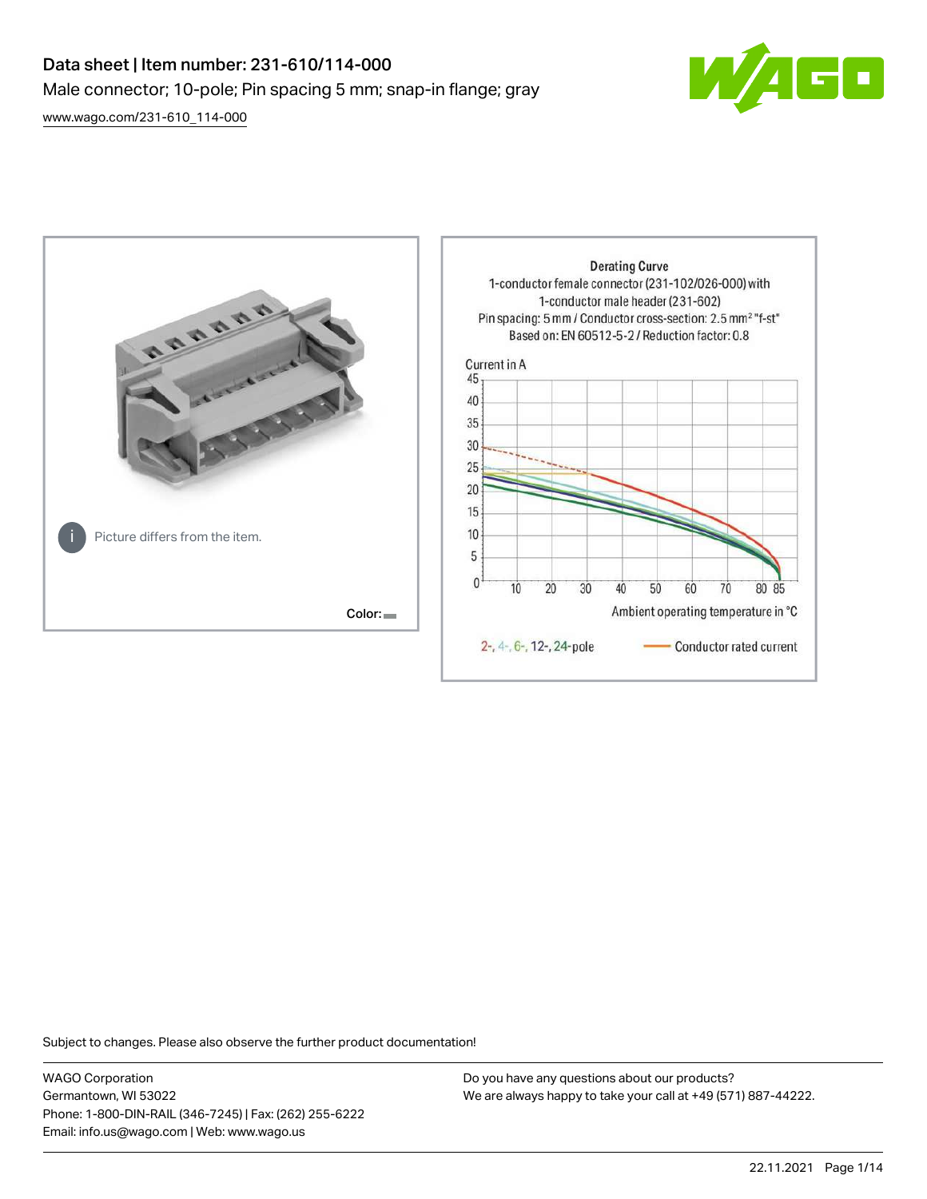# Data sheet | Item number: 231-610/114-000 Male connector; 10-pole; Pin spacing 5 mm; snap-in flange; gray

 $\blacksquare$ 

[www.wago.com/231-610\\_114-000](http://www.wago.com/231-610_114-000)



Subject to changes. Please also observe the further product documentation!

WAGO Corporation Germantown, WI 53022 Phone: 1-800-DIN-RAIL (346-7245) | Fax: (262) 255-6222 Email: info.us@wago.com | Web: www.wago.us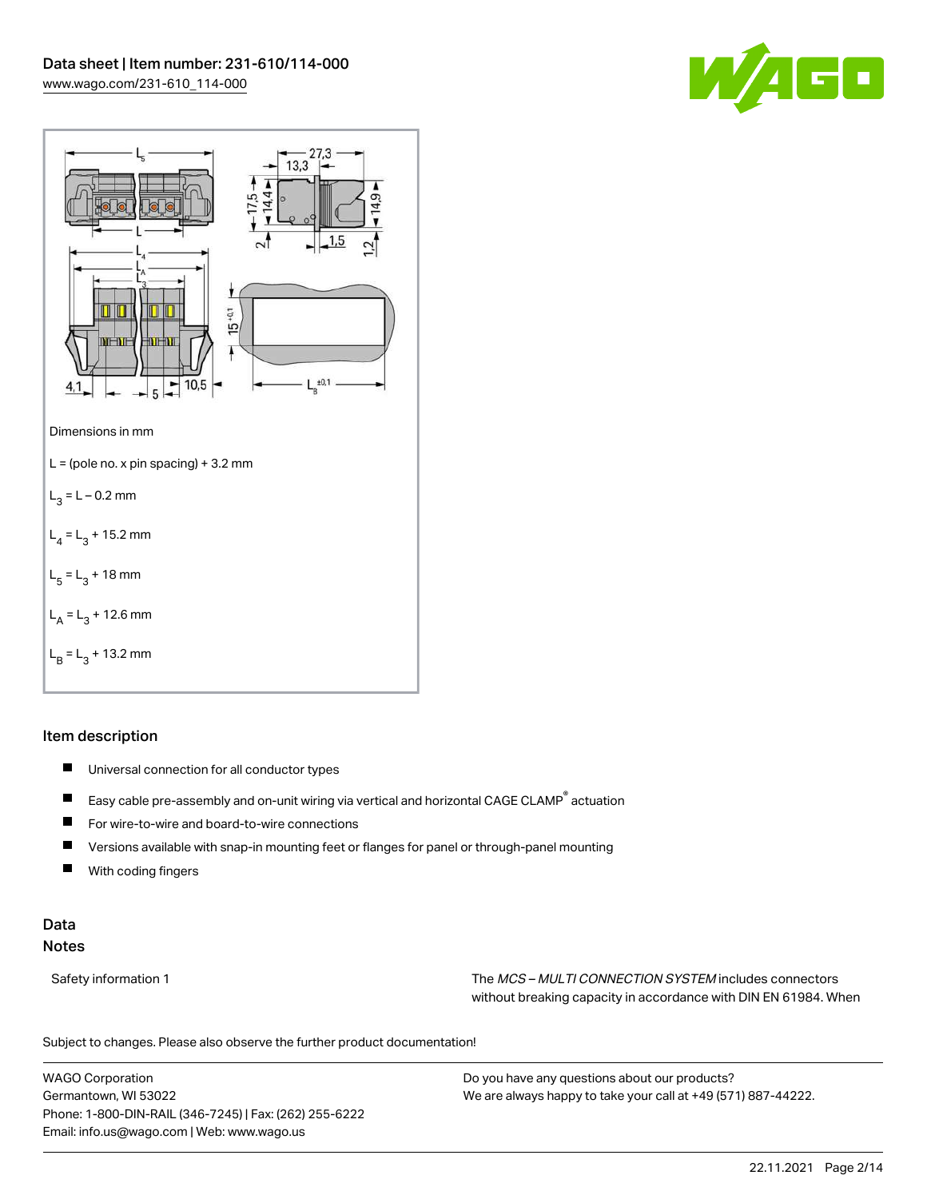



# Item description

- $\blacksquare$ Universal connection for all conductor types
- $\blacksquare$ Easy cable pre-assembly and on-unit wiring via vertical and horizontal CAGE CLAMP® actuation
- $\blacksquare$ For wire-to-wire and board-to-wire connections
- $\blacksquare$ Versions available with snap-in mounting feet or flanges for panel or through-panel mounting
- П With coding fingers

# Data Notes

Safety information 1 The MCS – MULTI CONNECTION SYSTEM includes connectors without breaking capacity in accordance with DIN EN 61984. When

Subject to changes. Please also observe the further product documentation!  $\mathbf{u}$ 

WAGO Corporation Germantown, WI 53022 Phone: 1-800-DIN-RAIL (346-7245) | Fax: (262) 255-6222 Email: info.us@wago.com | Web: www.wago.us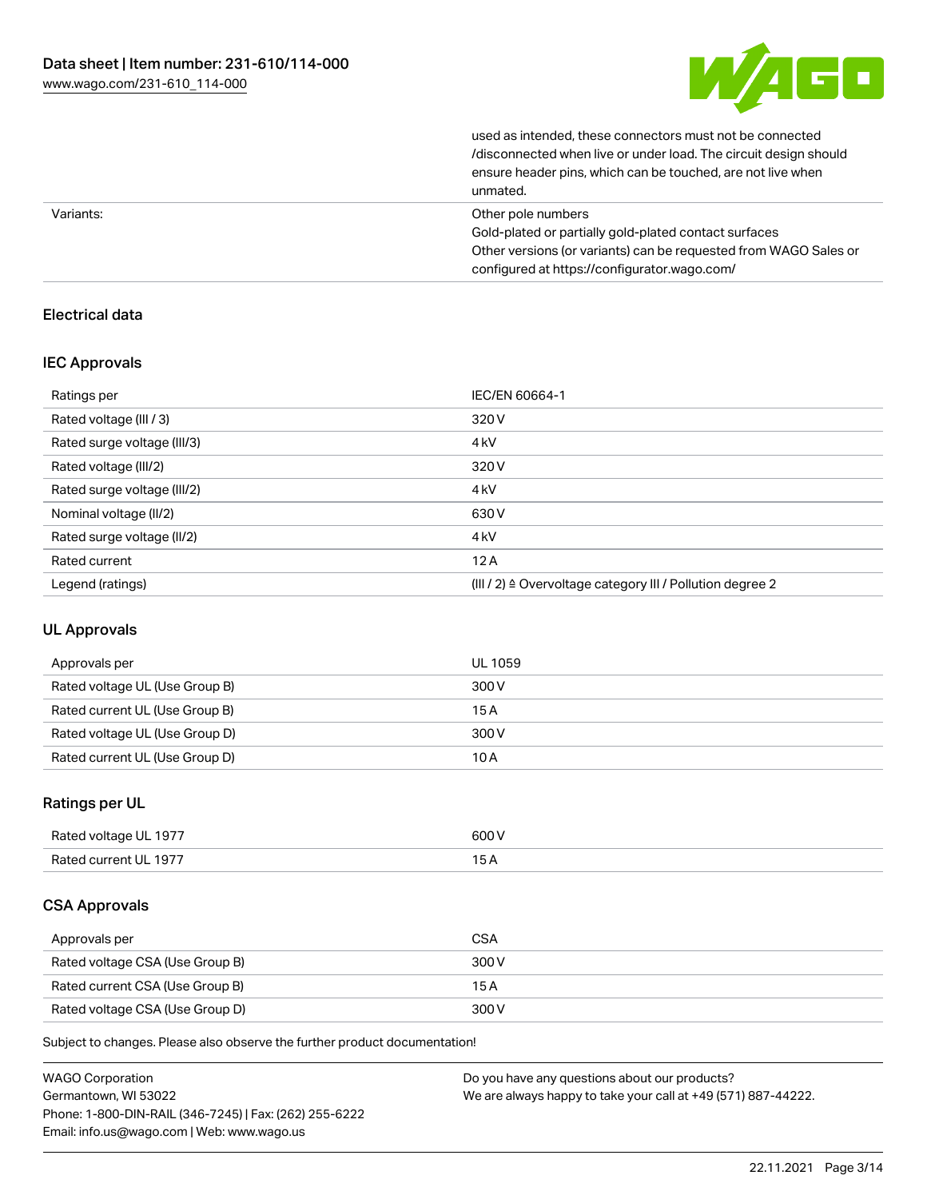

used as intended, these connectors must not be connected /disconnected when live or under load. The circuit design should ensure header pins, which can be touched, are not live when unmated.

|           | unnuvu.                                                          |
|-----------|------------------------------------------------------------------|
| Variants: | Other pole numbers                                               |
|           | Gold-plated or partially gold-plated contact surfaces            |
|           | Other versions (or variants) can be requested from WAGO Sales or |
|           | configured at https://configurator.wago.com/                     |

# Electrical data

# IEC Approvals

| Ratings per                 | IEC/EN 60664-1                                                       |
|-----------------------------|----------------------------------------------------------------------|
| Rated voltage (III / 3)     | 320 V                                                                |
| Rated surge voltage (III/3) | 4 <sub>kV</sub>                                                      |
| Rated voltage (III/2)       | 320 V                                                                |
| Rated surge voltage (III/2) | 4 <sub>kV</sub>                                                      |
| Nominal voltage (II/2)      | 630 V                                                                |
| Rated surge voltage (II/2)  | 4 <sub>kV</sub>                                                      |
| Rated current               | 12A                                                                  |
| Legend (ratings)            | (III / 2) $\triangleq$ Overvoltage category III / Pollution degree 2 |

# UL Approvals

| Approvals per                  | UL 1059 |
|--------------------------------|---------|
| Rated voltage UL (Use Group B) | 300 V   |
| Rated current UL (Use Group B) | 15 A    |
| Rated voltage UL (Use Group D) | 300 V   |
| Rated current UL (Use Group D) | 10 A    |

# Ratings per UL

| Rated voltage UL 1977 | 600 V |
|-----------------------|-------|
| Rated current UL 1977 | эA    |

# CSA Approvals

| Approvals per                   | <b>CSA</b> |
|---------------------------------|------------|
| Rated voltage CSA (Use Group B) | 300 V      |
| Rated current CSA (Use Group B) | 15 A       |
| Rated voltage CSA (Use Group D) | 300 V      |

Subject to changes. Please also observe the further product documentation!

| <b>WAGO Corporation</b>                                | Do you have any questions about our products?                 |
|--------------------------------------------------------|---------------------------------------------------------------|
| Germantown, WI 53022                                   | We are always happy to take your call at +49 (571) 887-44222. |
| Phone: 1-800-DIN-RAIL (346-7245)   Fax: (262) 255-6222 |                                                               |
| Email: info.us@wago.com   Web: www.wago.us             |                                                               |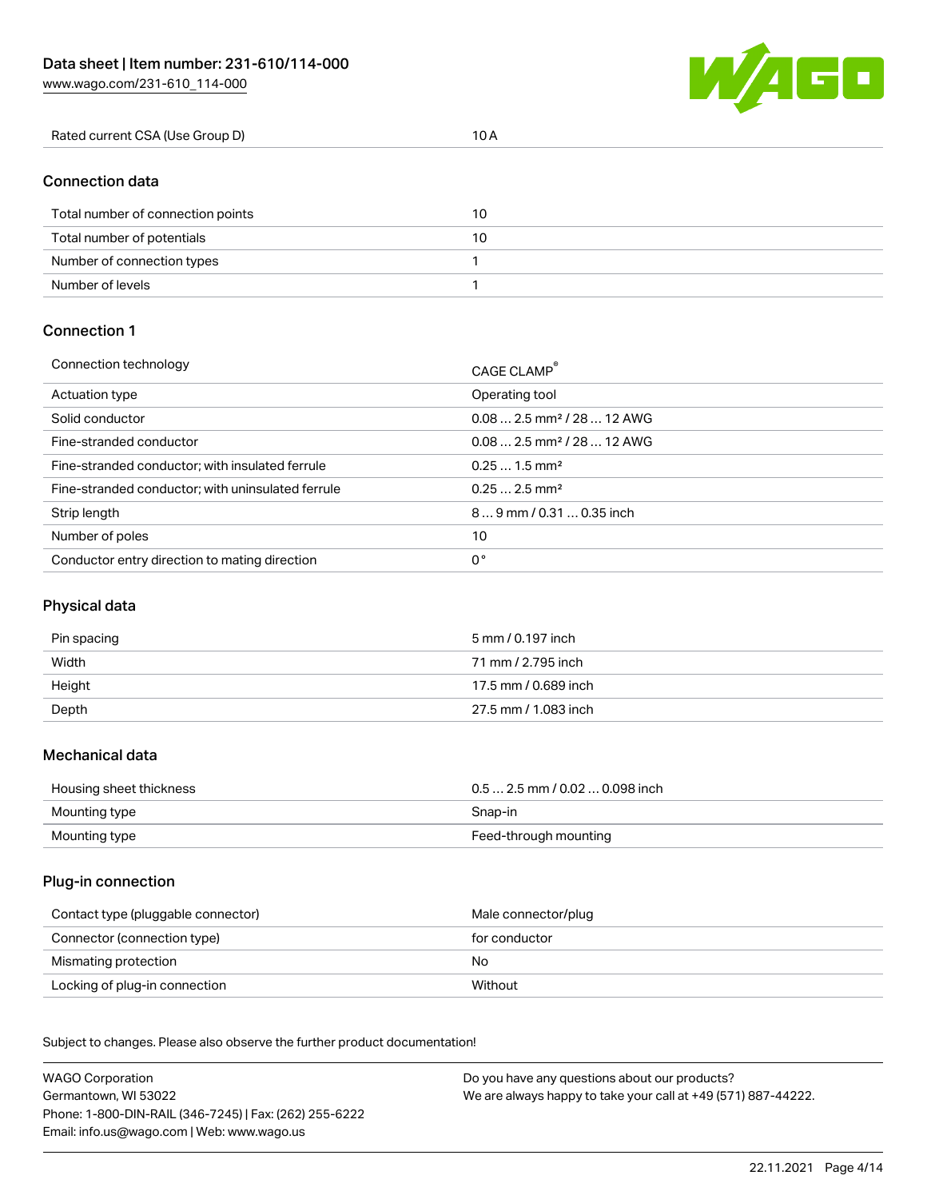[www.wago.com/231-610\\_114-000](http://www.wago.com/231-610_114-000)



| Rated current CSA (Use Group D) |  |
|---------------------------------|--|
|                                 |  |

# Connection data

| Total number of connection points | 10 |
|-----------------------------------|----|
| Total number of potentials        | 10 |
| Number of connection types        |    |
| Number of levels                  |    |

# Connection 1

| Connection technology                             | CAGE CLAMP®                             |
|---------------------------------------------------|-----------------------------------------|
| Actuation type                                    | Operating tool                          |
| Solid conductor                                   | $0.082.5$ mm <sup>2</sup> / 28  12 AWG  |
| Fine-stranded conductor                           | $0.08$ 2.5 mm <sup>2</sup> / 28  12 AWG |
| Fine-stranded conductor; with insulated ferrule   | $0.251.5$ mm <sup>2</sup>               |
| Fine-stranded conductor; with uninsulated ferrule | $0.252.5$ mm <sup>2</sup>               |
| Strip length                                      | $89$ mm / 0.31  0.35 inch               |
| Number of poles                                   | 10                                      |
| Conductor entry direction to mating direction     | 0°                                      |

# Physical data

| Pin spacing | 5 mm / 0.197 inch    |
|-------------|----------------------|
| Width       | 71 mm / 2.795 inch   |
| Height      | 17.5 mm / 0.689 inch |
| Depth       | 27.5 mm / 1.083 inch |

#### Mechanical data

| Housing sheet thickness | $0.5$ 2.5 mm / 0.02  0.098 inch |
|-------------------------|---------------------------------|
| Mounting type           | Snap-in                         |
| Mounting type           | Feed-through mounting           |

# Plug-in connection

| Contact type (pluggable connector) | Male connector/plug |
|------------------------------------|---------------------|
| Connector (connection type)        | for conductor       |
| Mismating protection               | No.                 |
| Locking of plug-in connection      | Without             |

Subject to changes. Please also observe the further product documentation! Material data

| <b>WAGO Corporation</b>                                | Do you have any questions about our products?                 |
|--------------------------------------------------------|---------------------------------------------------------------|
| Germantown, WI 53022                                   | We are always happy to take your call at +49 (571) 887-44222. |
| Phone: 1-800-DIN-RAIL (346-7245)   Fax: (262) 255-6222 |                                                               |
| Email: info.us@wago.com   Web: www.wago.us             |                                                               |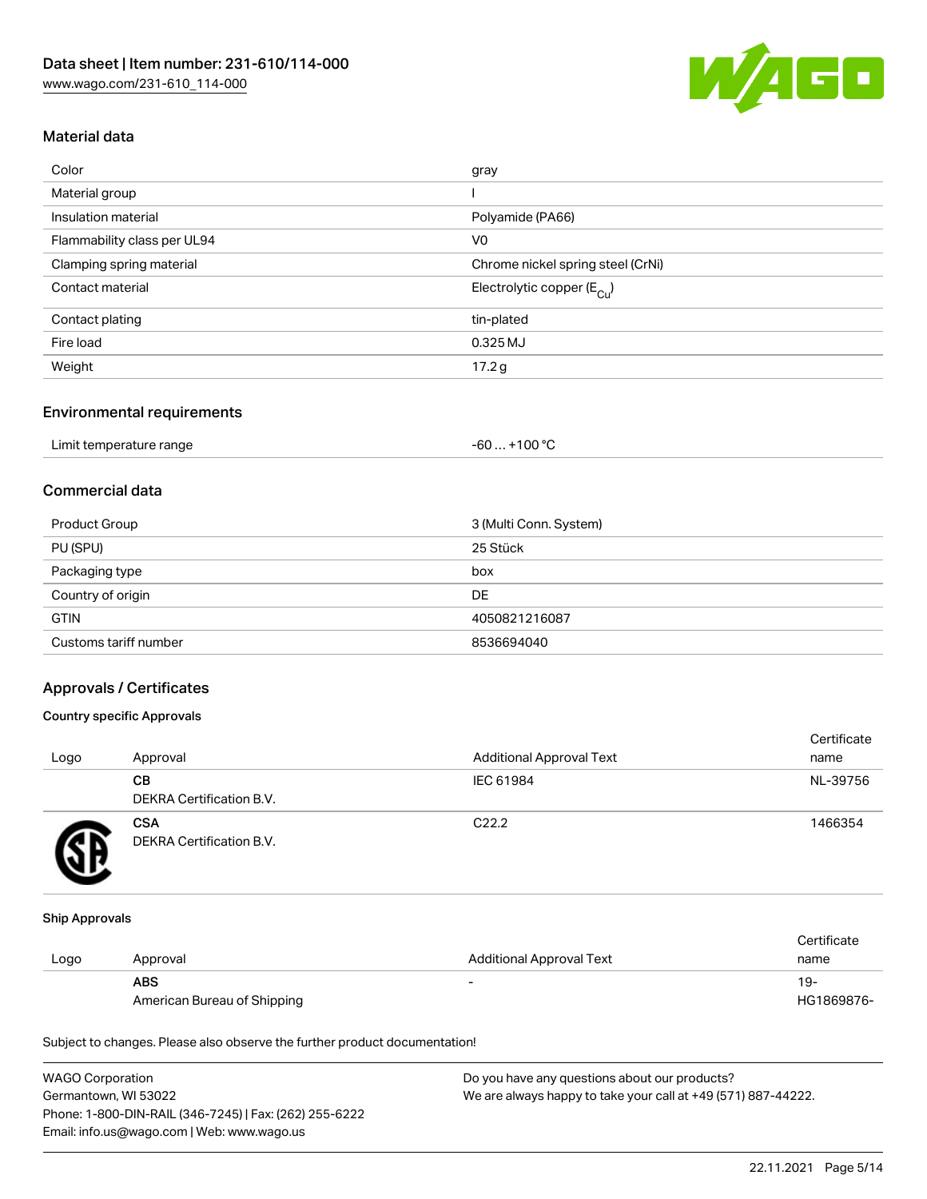

# Material data

| Color                       | gray                                    |
|-----------------------------|-----------------------------------------|
| Material group              |                                         |
| Insulation material         | Polyamide (PA66)                        |
| Flammability class per UL94 | V <sub>0</sub>                          |
| Clamping spring material    | Chrome nickel spring steel (CrNi)       |
| Contact material            | Electrolytic copper ( $E_{\text{Cu}}$ ) |
| Contact plating             | tin-plated                              |
| Fire load                   | 0.325 MJ                                |
| Weight                      | 17.2 g                                  |
|                             |                                         |

#### Environmental requirements

| Limit temperature range | . +100 °C<br>$-60$ |
|-------------------------|--------------------|
|-------------------------|--------------------|

# Commercial data

| Product Group         | 3 (Multi Conn. System) |
|-----------------------|------------------------|
| PU (SPU)              | 25 Stück               |
| Packaging type        | box                    |
| Country of origin     | DE                     |
| <b>GTIN</b>           | 4050821216087          |
| Customs tariff number | 8536694040             |

# Approvals / Certificates

# Country specific Approvals

| Logo | Approval                               | <b>Additional Approval Text</b> | Certificate<br>name |
|------|----------------------------------------|---------------------------------|---------------------|
|      | CВ<br><b>DEKRA Certification B.V.</b>  | IEC 61984                       | NL-39756            |
|      | <b>CSA</b><br>DEKRA Certification B.V. | C <sub>22.2</sub>               | 1466354             |

#### Ship Approvals

|      |                             |                                 | Certificate |
|------|-----------------------------|---------------------------------|-------------|
| Logo | Approval                    | <b>Additional Approval Text</b> | name        |
|      | <b>ABS</b>                  | -                               | $19-$       |
|      | American Bureau of Shipping |                                 | HG1869876-  |

Subject to changes. Please also observe the further product documentation!

| <b>WAGO Corporation</b>                                | Do you have any questions about our products?                 |
|--------------------------------------------------------|---------------------------------------------------------------|
| Germantown, WI 53022                                   | We are always happy to take your call at +49 (571) 887-44222. |
| Phone: 1-800-DIN-RAIL (346-7245)   Fax: (262) 255-6222 |                                                               |
| Email: info.us@wago.com   Web: www.wago.us             |                                                               |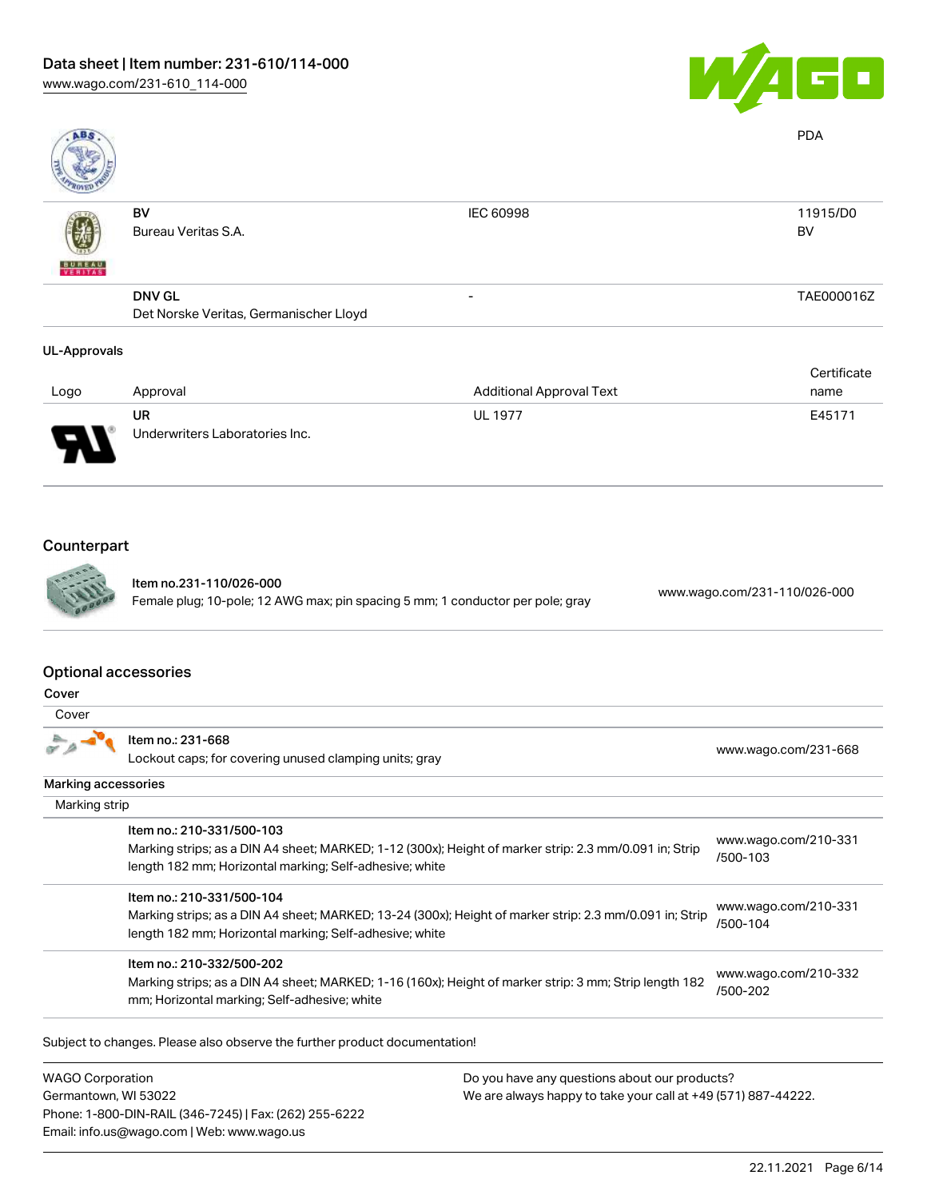

| ABS                 |                                        |                                 | <b>PDA</b>  |
|---------------------|----------------------------------------|---------------------------------|-------------|
|                     | BV                                     | IEC 60998                       | 11915/D0    |
|                     | Bureau Veritas S.A.                    |                                 | BV          |
| <b>BUREAU</b>       |                                        |                                 |             |
|                     | <b>DNV GL</b>                          | $\overline{\phantom{0}}$        | TAE000016Z  |
|                     | Det Norske Veritas, Germanischer Lloyd |                                 |             |
| <b>UL-Approvals</b> |                                        |                                 |             |
|                     |                                        |                                 | Certificate |
| Logo                | Approval                               | <b>Additional Approval Text</b> | name        |
|                     | <b>UR</b>                              | <b>UL 1977</b>                  | E45171      |
|                     | Underwriters Laboratories Inc.         |                                 |             |

# Counterpart



Item no.231-110/026-000 Female plug; 10-pole; 12 AWG max; pin spacing 5 mm; 1 conductor per pole; gray [www.wago.com/231-110/026-000](https://www.wago.com/231-110/026-000)

## Optional accessories

| ۰,<br>۰.<br>۰.<br>× |
|---------------------|
|---------------------|

| Item no.: 231-668<br>Lockout caps; for covering unused clamping units; gray                                                                                                                     | www.wago.com/231-668                 |
|-------------------------------------------------------------------------------------------------------------------------------------------------------------------------------------------------|--------------------------------------|
|                                                                                                                                                                                                 |                                      |
|                                                                                                                                                                                                 |                                      |
| Item no.: 210-331/500-103<br>Marking strips; as a DIN A4 sheet; MARKED; 1-12 (300x); Height of marker strip: 2.3 mm/0.091 in; Strip<br>length 182 mm; Horizontal marking; Self-adhesive; white  | www.wago.com/210-331<br>/500-103     |
| Item no.: 210-331/500-104<br>Marking strips; as a DIN A4 sheet; MARKED; 13-24 (300x); Height of marker strip: 2.3 mm/0.091 in; Strip<br>length 182 mm; Horizontal marking; Self-adhesive; white | www.wago.com/210-331<br>/500-104     |
| Item no.: 210-332/500-202<br>Marking strips; as a DIN A4 sheet; MARKED; 1-16 (160x); Height of marker strip: 3 mm; Strip length 182<br>mm; Horizontal marking; Self-adhesive; white             | www.wago.com/210-332<br>/500-202     |
|                                                                                                                                                                                                 | Marking accessories<br>Marking strip |

Subject to changes. Please also observe the further product documentation!

WAGO Corporation Germantown, WI 53022 Phone: 1-800-DIN-RAIL (346-7245) | Fax: (262) 255-6222 Email: info.us@wago.com | Web: www.wago.us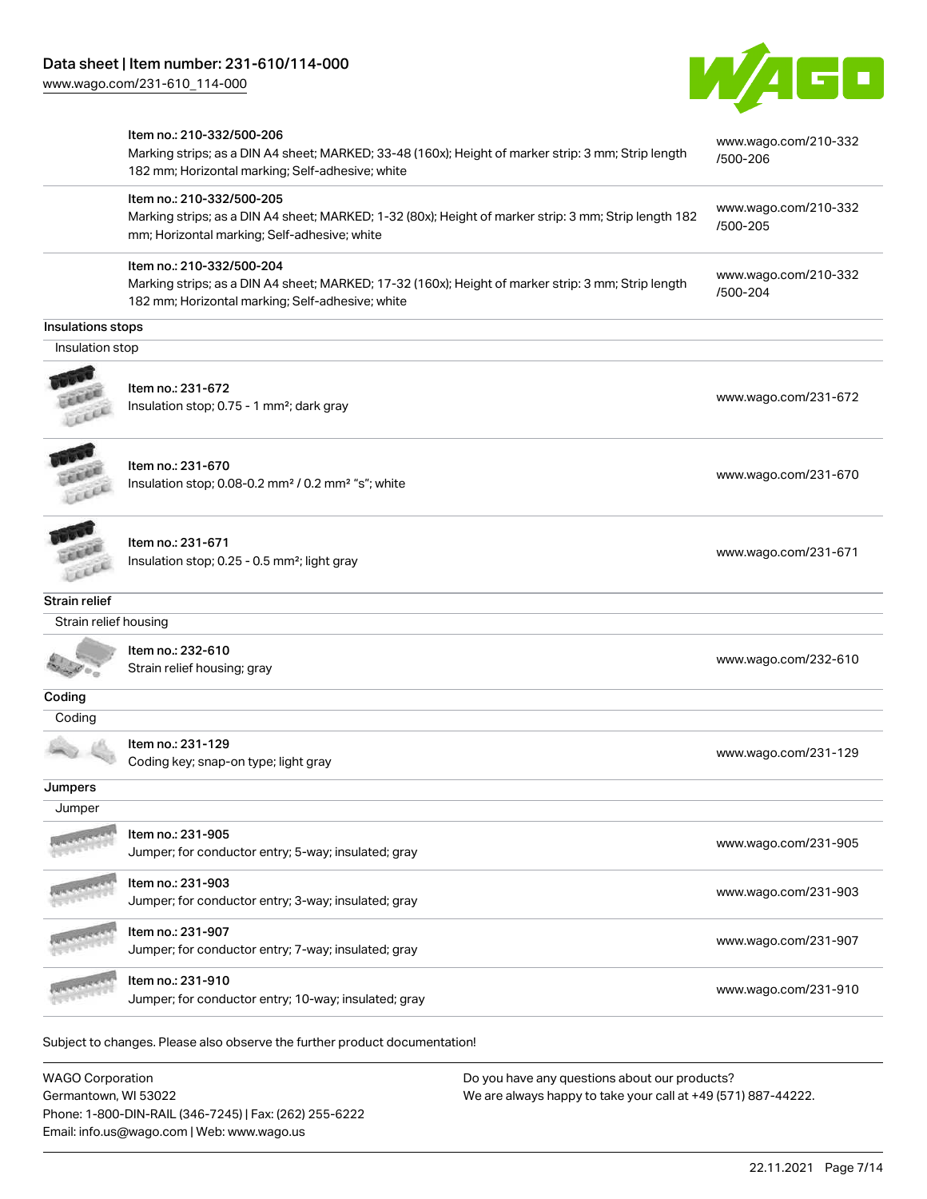

|                       | Item no.: 210-332/500-206<br>Marking strips; as a DIN A4 sheet; MARKED; 33-48 (160x); Height of marker strip: 3 mm; Strip length<br>182 mm; Horizontal marking; Self-adhesive; white | www.wago.com/210-332<br>/500-206 |
|-----------------------|--------------------------------------------------------------------------------------------------------------------------------------------------------------------------------------|----------------------------------|
|                       | Item no.: 210-332/500-205<br>Marking strips; as a DIN A4 sheet; MARKED; 1-32 (80x); Height of marker strip: 3 mm; Strip length 182<br>mm; Horizontal marking; Self-adhesive; white   | www.wago.com/210-332<br>/500-205 |
|                       | Item no.: 210-332/500-204<br>Marking strips; as a DIN A4 sheet; MARKED; 17-32 (160x); Height of marker strip: 3 mm; Strip length<br>182 mm; Horizontal marking; Self-adhesive; white | www.wago.com/210-332<br>/500-204 |
| Insulations stops     |                                                                                                                                                                                      |                                  |
| Insulation stop       |                                                                                                                                                                                      |                                  |
|                       | Item no.: 231-672<br>Insulation stop; 0.75 - 1 mm <sup>2</sup> ; dark gray                                                                                                           | www.wago.com/231-672             |
|                       | Item no.: 231-670<br>Insulation stop; 0.08-0.2 mm <sup>2</sup> / 0.2 mm <sup>2</sup> "s"; white                                                                                      | www.wago.com/231-670             |
|                       | Item no.: 231-671<br>Insulation stop; 0.25 - 0.5 mm <sup>2</sup> ; light gray                                                                                                        | www.wago.com/231-671             |
| <b>Strain relief</b>  |                                                                                                                                                                                      |                                  |
| Strain relief housing |                                                                                                                                                                                      |                                  |
|                       | Item no.: 232-610<br>Strain relief housing; gray                                                                                                                                     | www.wago.com/232-610             |
| Coding                |                                                                                                                                                                                      |                                  |
| Coding                |                                                                                                                                                                                      |                                  |
|                       | Item no.: 231-129<br>Coding key; snap-on type; light gray                                                                                                                            | www.wago.com/231-129             |
| Jumpers               |                                                                                                                                                                                      |                                  |
| Jumper                |                                                                                                                                                                                      |                                  |
|                       | Item no.: 231-905<br>Jumper; for conductor entry; 5-way; insulated; gray                                                                                                             | www.wago.com/231-905             |
|                       | Item no.: 231-903<br>Jumper; for conductor entry; 3-way; insulated; gray                                                                                                             | www.wago.com/231-903             |
|                       | Item no.: 231-907<br>Jumper; for conductor entry; 7-way; insulated; gray                                                                                                             | www.wago.com/231-907             |
|                       | Item no.: 231-910<br>Jumper; for conductor entry; 10-way; insulated; gray                                                                                                            | www.wago.com/231-910             |
|                       | Subject to changes. Please also observe the further product documentation!                                                                                                           |                                  |

WAGO Corporation Germantown, WI 53022 Phone: 1-800-DIN-RAIL (346-7245) | Fax: (262) 255-6222 Email: info.us@wago.com | Web: www.wago.us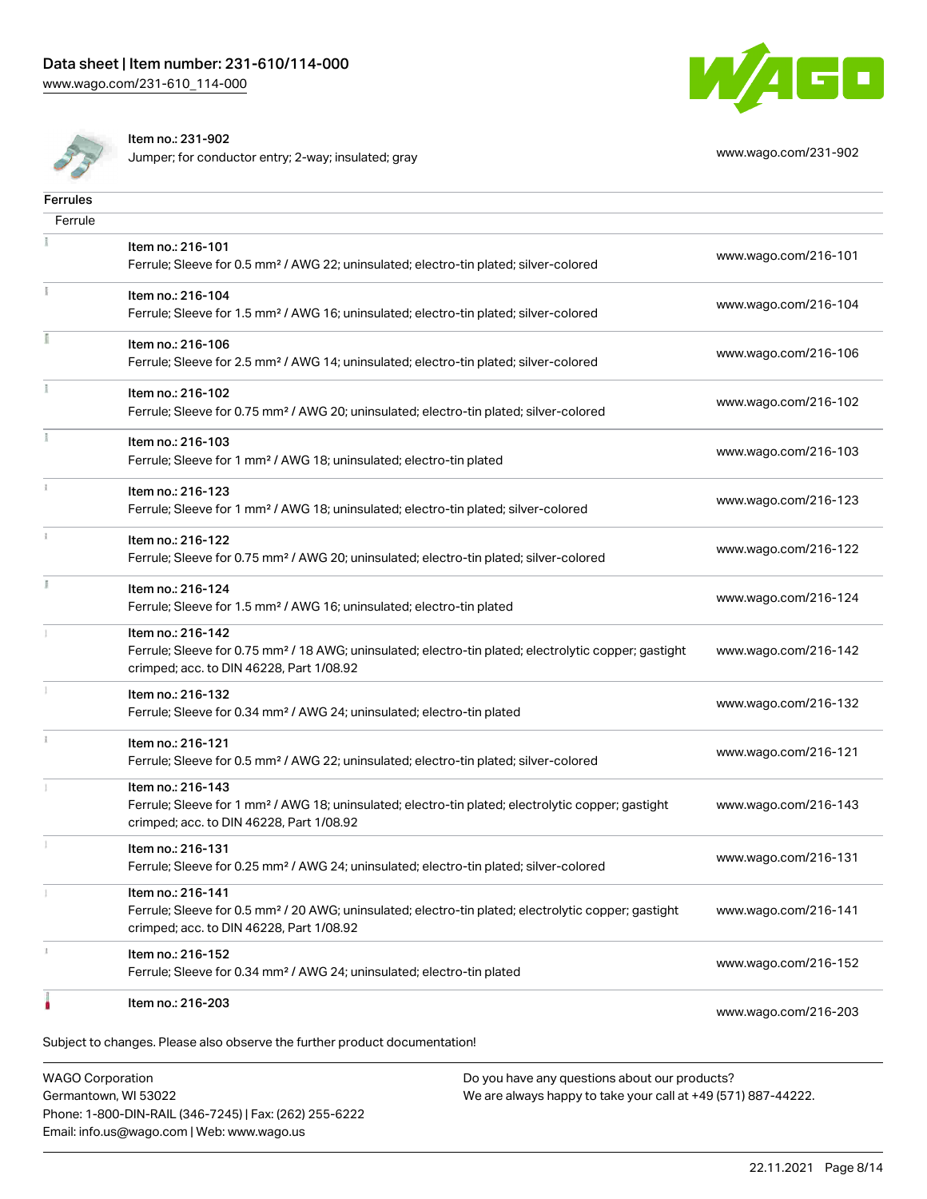



**Ferrules** 

 $\overline{1}$ 

 $\tilde{\chi}$ 

B

Item no.: 231-902

Jumper; for conductor entry; 2-way; insulated; gray [www.wago.com/231-902](http://www.wago.com/231-902)

| Ferrule |                                                                                                                                                                                    |                      |
|---------|------------------------------------------------------------------------------------------------------------------------------------------------------------------------------------|----------------------|
|         | Item no.: 216-101<br>Ferrule; Sleeve for 0.5 mm <sup>2</sup> / AWG 22; uninsulated; electro-tin plated; silver-colored                                                             | www.wago.com/216-101 |
|         | Item no.: 216-104<br>Ferrule; Sleeve for 1.5 mm <sup>2</sup> / AWG 16; uninsulated; electro-tin plated; silver-colored                                                             | www.wago.com/216-104 |
|         | Item no.: 216-106<br>Ferrule; Sleeve for 2.5 mm <sup>2</sup> / AWG 14; uninsulated; electro-tin plated; silver-colored                                                             | www.wago.com/216-106 |
|         | Item no.: 216-102<br>Ferrule; Sleeve for 0.75 mm <sup>2</sup> / AWG 20; uninsulated; electro-tin plated; silver-colored                                                            | www.wago.com/216-102 |
|         | Item no.: 216-103<br>Ferrule; Sleeve for 1 mm <sup>2</sup> / AWG 18; uninsulated; electro-tin plated                                                                               | www.wago.com/216-103 |
|         | Item no.: 216-123<br>Ferrule; Sleeve for 1 mm <sup>2</sup> / AWG 18; uninsulated; electro-tin plated; silver-colored                                                               | www.wago.com/216-123 |
|         | Item no.: 216-122<br>Ferrule; Sleeve for 0.75 mm <sup>2</sup> / AWG 20; uninsulated; electro-tin plated; silver-colored                                                            | www.wago.com/216-122 |
|         | Item no.: 216-124<br>Ferrule; Sleeve for 1.5 mm <sup>2</sup> / AWG 16; uninsulated; electro-tin plated                                                                             | www.wago.com/216-124 |
|         | Item no.: 216-142<br>Ferrule; Sleeve for 0.75 mm <sup>2</sup> / 18 AWG; uninsulated; electro-tin plated; electrolytic copper; gastight<br>crimped; acc. to DIN 46228, Part 1/08.92 | www.wago.com/216-142 |
|         | Item no.: 216-132<br>Ferrule; Sleeve for 0.34 mm <sup>2</sup> / AWG 24; uninsulated; electro-tin plated                                                                            | www.wago.com/216-132 |
|         | Item no.: 216-121<br>Ferrule; Sleeve for 0.5 mm <sup>2</sup> / AWG 22; uninsulated; electro-tin plated; silver-colored                                                             | www.wago.com/216-121 |
|         | Item no.: 216-143<br>Ferrule; Sleeve for 1 mm <sup>2</sup> / AWG 18; uninsulated; electro-tin plated; electrolytic copper; gastight<br>crimped; acc. to DIN 46228, Part 1/08.92    | www.wago.com/216-143 |
|         | Item no.: 216-131<br>Ferrule; Sleeve for 0.25 mm <sup>2</sup> / AWG 24; uninsulated; electro-tin plated; silver-colored                                                            | www.wago.com/216-131 |
|         | Item no.: 216-141<br>Ferrule; Sleeve for 0.5 mm <sup>2</sup> / 20 AWG; uninsulated; electro-tin plated; electrolytic copper; gastight<br>crimped; acc. to DIN 46228, Part 1/08.92  | www.wago.com/216-141 |
|         | Item no.: 216-152<br>Ferrule; Sleeve for 0.34 mm <sup>2</sup> / AWG 24; uninsulated; electro-tin plated                                                                            | www.wago.com/216-152 |
|         | Item no.: 216-203                                                                                                                                                                  | www.wago.com/216-203 |

Subject to changes. Please also observe the further product documentation!

WAGO Corporation Germantown, WI 53022 Phone: 1-800-DIN-RAIL (346-7245) | Fax: (262) 255-6222 Email: info.us@wago.com | Web: www.wago.us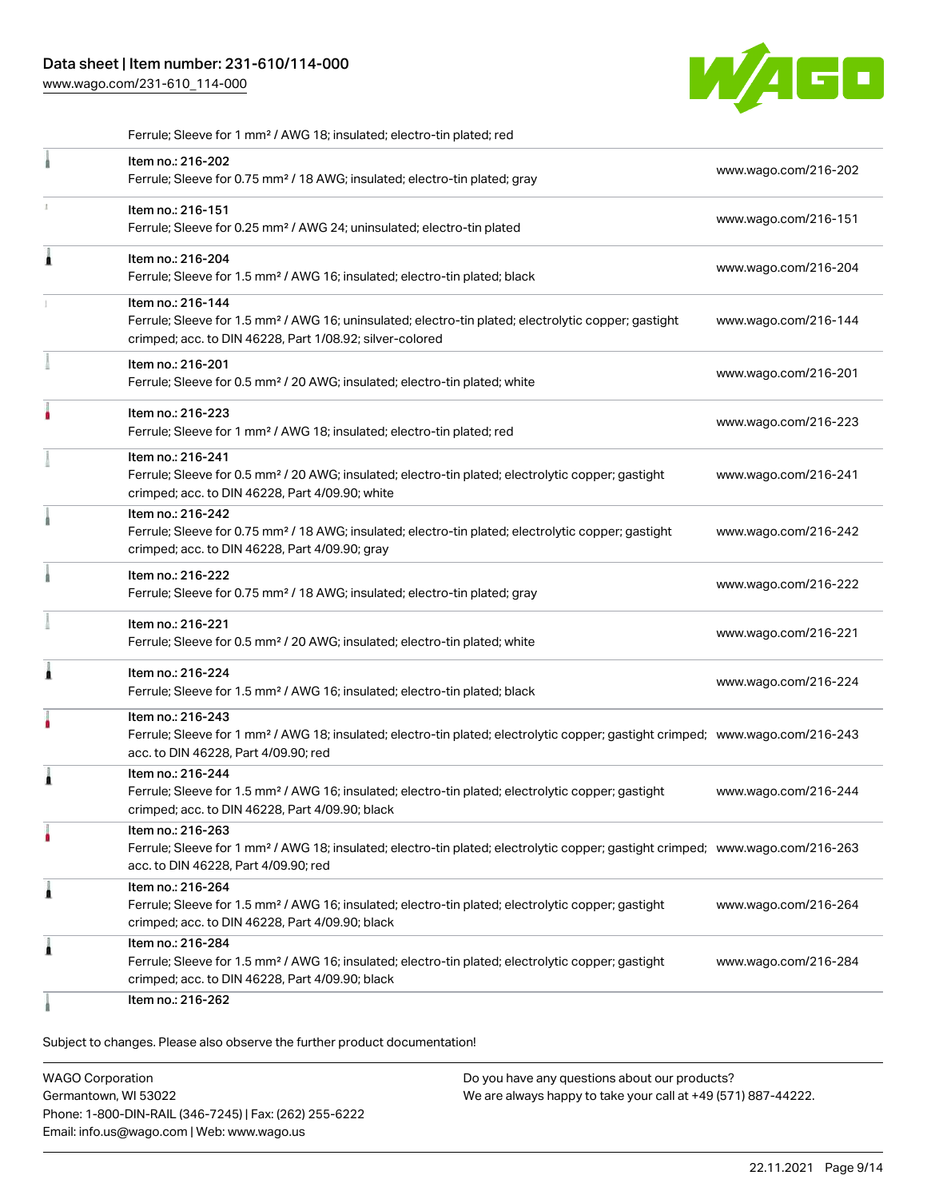# Data sheet | Item number: 231-610/114-000

[www.wago.com/231-610\\_114-000](http://www.wago.com/231-610_114-000)



Ferrule; Sleeve for 1 mm² / AWG 18; insulated; electro-tin plated; red

|   | Item no.: 216-202<br>Ferrule; Sleeve for 0.75 mm <sup>2</sup> / 18 AWG; insulated; electro-tin plated; gray                                                                                             | www.wago.com/216-202 |
|---|---------------------------------------------------------------------------------------------------------------------------------------------------------------------------------------------------------|----------------------|
|   | Item no.: 216-151<br>Ferrule; Sleeve for 0.25 mm <sup>2</sup> / AWG 24; uninsulated; electro-tin plated                                                                                                 | www.wago.com/216-151 |
| Â | Item no.: 216-204<br>Ferrule; Sleeve for 1.5 mm <sup>2</sup> / AWG 16; insulated; electro-tin plated; black                                                                                             | www.wago.com/216-204 |
|   | Item no.: 216-144<br>Ferrule; Sleeve for 1.5 mm <sup>2</sup> / AWG 16; uninsulated; electro-tin plated; electrolytic copper; gastight<br>crimped; acc. to DIN 46228, Part 1/08.92; silver-colored       | www.wago.com/216-144 |
|   | Item no.: 216-201<br>Ferrule; Sleeve for 0.5 mm <sup>2</sup> / 20 AWG; insulated; electro-tin plated; white                                                                                             | www.wago.com/216-201 |
|   | Item no.: 216-223<br>Ferrule; Sleeve for 1 mm <sup>2</sup> / AWG 18; insulated; electro-tin plated; red                                                                                                 | www.wago.com/216-223 |
|   | Item no.: 216-241<br>Ferrule; Sleeve for 0.5 mm <sup>2</sup> / 20 AWG; insulated; electro-tin plated; electrolytic copper; gastight<br>crimped; acc. to DIN 46228, Part 4/09.90; white                  | www.wago.com/216-241 |
|   | Item no.: 216-242<br>Ferrule; Sleeve for 0.75 mm <sup>2</sup> / 18 AWG; insulated; electro-tin plated; electrolytic copper; gastight<br>crimped; acc. to DIN 46228, Part 4/09.90; gray                  | www.wago.com/216-242 |
|   | Item no.: 216-222<br>Ferrule; Sleeve for 0.75 mm <sup>2</sup> / 18 AWG; insulated; electro-tin plated; gray                                                                                             | www.wago.com/216-222 |
|   | Item no.: 216-221<br>Ferrule; Sleeve for 0.5 mm <sup>2</sup> / 20 AWG; insulated; electro-tin plated; white                                                                                             | www.wago.com/216-221 |
| Â | Item no.: 216-224<br>Ferrule; Sleeve for 1.5 mm <sup>2</sup> / AWG 16; insulated; electro-tin plated; black                                                                                             | www.wago.com/216-224 |
|   | Item no.: 216-243<br>Ferrule; Sleeve for 1 mm <sup>2</sup> / AWG 18; insulated; electro-tin plated; electrolytic copper; gastight crimped; www.wago.com/216-243<br>acc. to DIN 46228, Part 4/09.90; red |                      |
| ۸ | Item no.: 216-244<br>Ferrule; Sleeve for 1.5 mm <sup>2</sup> / AWG 16; insulated; electro-tin plated; electrolytic copper; gastight<br>crimped; acc. to DIN 46228, Part 4/09.90; black                  | www.wago.com/216-244 |
|   | Item no.: 216-263<br>Ferrule; Sleeve for 1 mm <sup>2</sup> / AWG 18; insulated; electro-tin plated; electrolytic copper; gastight crimped; www.wago.com/216-263<br>acc. to DIN 46228, Part 4/09.90; red |                      |
| 1 | Item no.: 216-264<br>Ferrule; Sleeve for 1.5 mm <sup>2</sup> / AWG 16; insulated; electro-tin plated; electrolytic copper; gastight<br>crimped; acc. to DIN 46228, Part 4/09.90; black                  | www.wago.com/216-264 |
| Â | Item no.: 216-284<br>Ferrule; Sleeve for 1.5 mm <sup>2</sup> / AWG 16; insulated; electro-tin plated; electrolytic copper; gastight<br>crimped; acc. to DIN 46228, Part 4/09.90; black                  | www.wago.com/216-284 |
|   | Item no.: 216-262                                                                                                                                                                                       |                      |

Subject to changes. Please also observe the further product documentation!

WAGO Corporation Germantown, WI 53022 Phone: 1-800-DIN-RAIL (346-7245) | Fax: (262) 255-6222 Email: info.us@wago.com | Web: www.wago.us Do you have any questions about our products? We are always happy to take your call at +49 (571) 887-44222.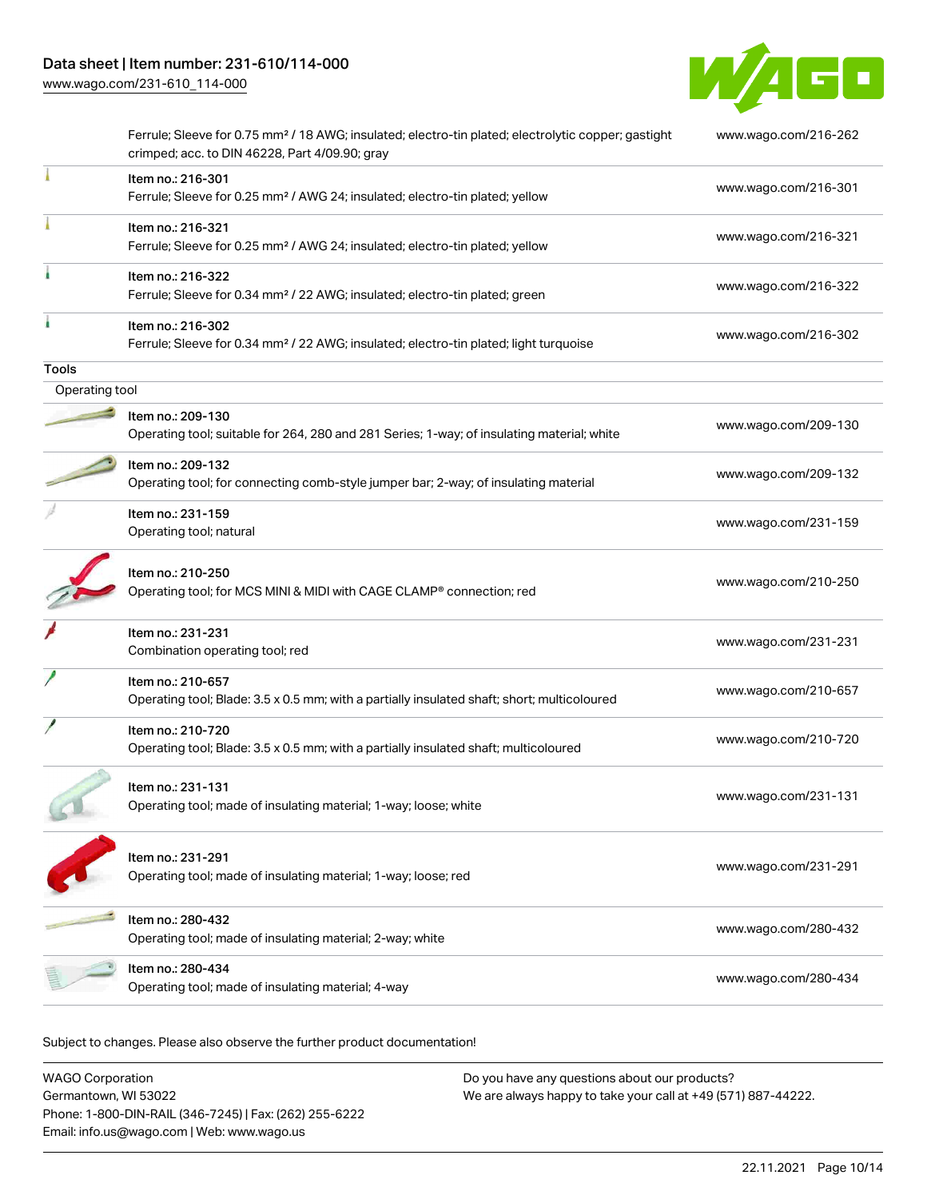

|                | Ferrule; Sleeve for 0.75 mm <sup>2</sup> / 18 AWG; insulated; electro-tin plated; electrolytic copper; gastight<br>crimped; acc. to DIN 46228, Part 4/09.90; gray | www.wago.com/216-262 |
|----------------|-------------------------------------------------------------------------------------------------------------------------------------------------------------------|----------------------|
|                | Item no.: 216-301<br>Ferrule; Sleeve for 0.25 mm <sup>2</sup> / AWG 24; insulated; electro-tin plated; yellow                                                     | www.wago.com/216-301 |
|                | Item no.: 216-321<br>Ferrule; Sleeve for 0.25 mm <sup>2</sup> / AWG 24; insulated; electro-tin plated; yellow                                                     | www.wago.com/216-321 |
|                | Item no.: 216-322<br>Ferrule; Sleeve for 0.34 mm <sup>2</sup> / 22 AWG; insulated; electro-tin plated; green                                                      | www.wago.com/216-322 |
|                | Item no.: 216-302<br>Ferrule; Sleeve for 0.34 mm <sup>2</sup> / 22 AWG; insulated; electro-tin plated; light turquoise                                            | www.wago.com/216-302 |
| <b>Tools</b>   |                                                                                                                                                                   |                      |
| Operating tool |                                                                                                                                                                   |                      |
|                | Item no.: 209-130<br>Operating tool; suitable for 264, 280 and 281 Series; 1-way; of insulating material; white                                                   | www.wago.com/209-130 |
|                | Item no.: 209-132<br>Operating tool; for connecting comb-style jumper bar; 2-way; of insulating material                                                          | www.wago.com/209-132 |
|                | Item no.: 231-159<br>Operating tool; natural                                                                                                                      | www.wago.com/231-159 |
|                | Item no.: 210-250<br>Operating tool; for MCS MINI & MIDI with CAGE CLAMP® connection; red                                                                         | www.wago.com/210-250 |
|                | Item no.: 231-231<br>Combination operating tool; red                                                                                                              | www.wago.com/231-231 |
|                | Item no.: 210-657<br>Operating tool; Blade: 3.5 x 0.5 mm; with a partially insulated shaft; short; multicoloured                                                  | www.wago.com/210-657 |
|                | Item no.: 210-720<br>Operating tool; Blade: 3.5 x 0.5 mm; with a partially insulated shaft; multicoloured                                                         | www.wago.com/210-720 |
|                | ltem no.: 231-131<br>Operating tool; made of insulating material; 1-way; loose; white                                                                             | www.wago.com/231-131 |
|                | Item no.: 231-291<br>Operating tool; made of insulating material; 1-way; loose; red                                                                               | www.wago.com/231-291 |
|                | Item no.: 280-432<br>Operating tool; made of insulating material; 2-way; white                                                                                    | www.wago.com/280-432 |
|                | Item no.: 280-434<br>Operating tool; made of insulating material; 4-way                                                                                           | www.wago.com/280-434 |
|                |                                                                                                                                                                   |                      |

Subject to changes. Please also observe the further product documentation!

| <b>WAGO Corporation</b>                                | Do you have any questions about our products?                 |  |
|--------------------------------------------------------|---------------------------------------------------------------|--|
| Germantown, WI 53022                                   | We are always happy to take your call at +49 (571) 887-44222. |  |
| Phone: 1-800-DIN-RAIL (346-7245)   Fax: (262) 255-6222 |                                                               |  |
| Email: info.us@wago.com   Web: www.wago.us             |                                                               |  |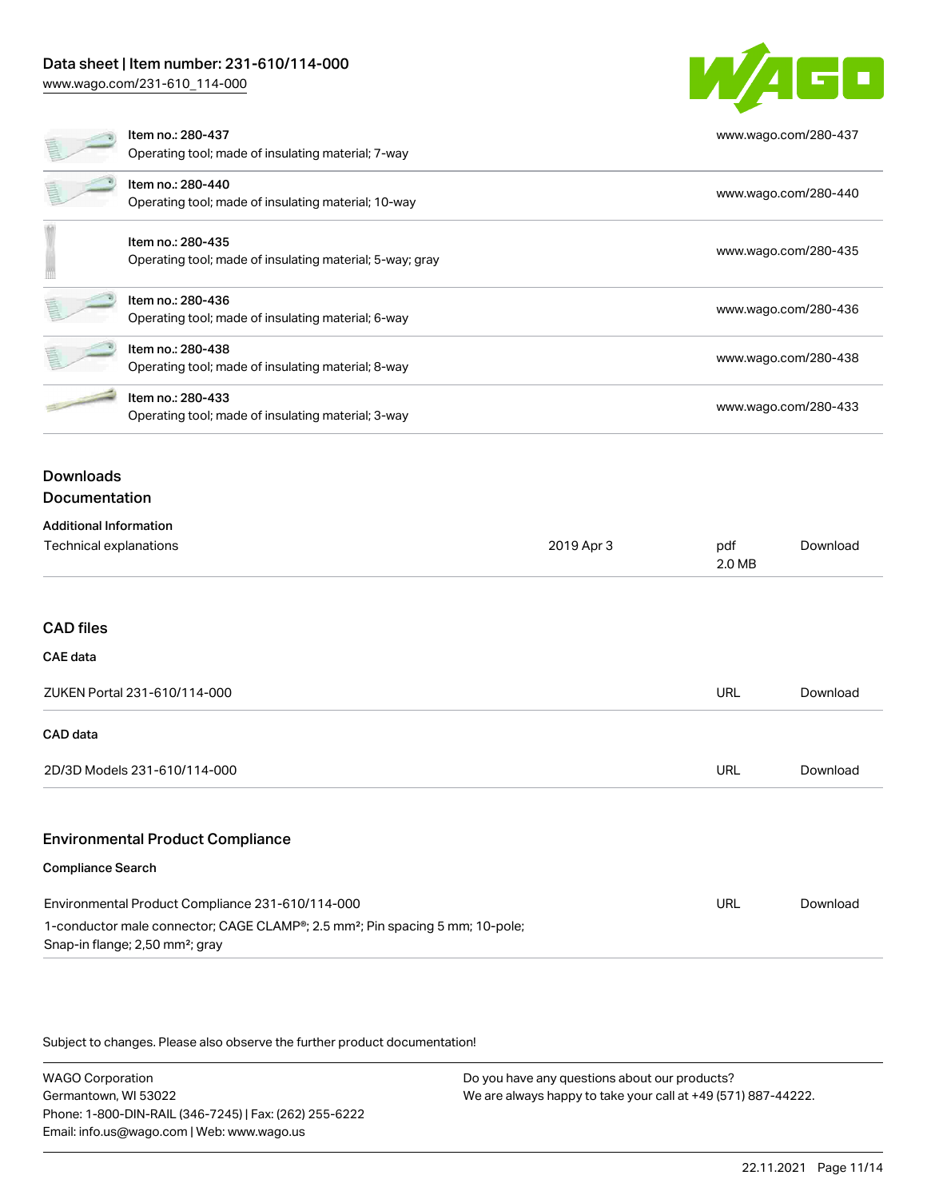## Data sheet | Item number: 231-610/114-000

[www.wago.com/231-610\\_114-000](http://www.wago.com/231-610_114-000)



# Compliance Search

CAE data

CAD data

| Environmental Product Compliance 231-610/114-000                                                                                                      | URL | Download |
|-------------------------------------------------------------------------------------------------------------------------------------------------------|-----|----------|
| 1-conductor male connector; CAGE CLAMP <sup>®</sup> ; 2.5 mm <sup>2</sup> ; Pin spacing 5 mm; 10-pole;<br>Snap-in flange; 2,50 mm <sup>2</sup> ; gray |     |          |

Subject to changes. Please also observe the further product documentation!

WAGO Corporation Germantown, WI 53022 Phone: 1-800-DIN-RAIL (346-7245) | Fax: (262) 255-6222 Email: info.us@wago.com | Web: www.wago.us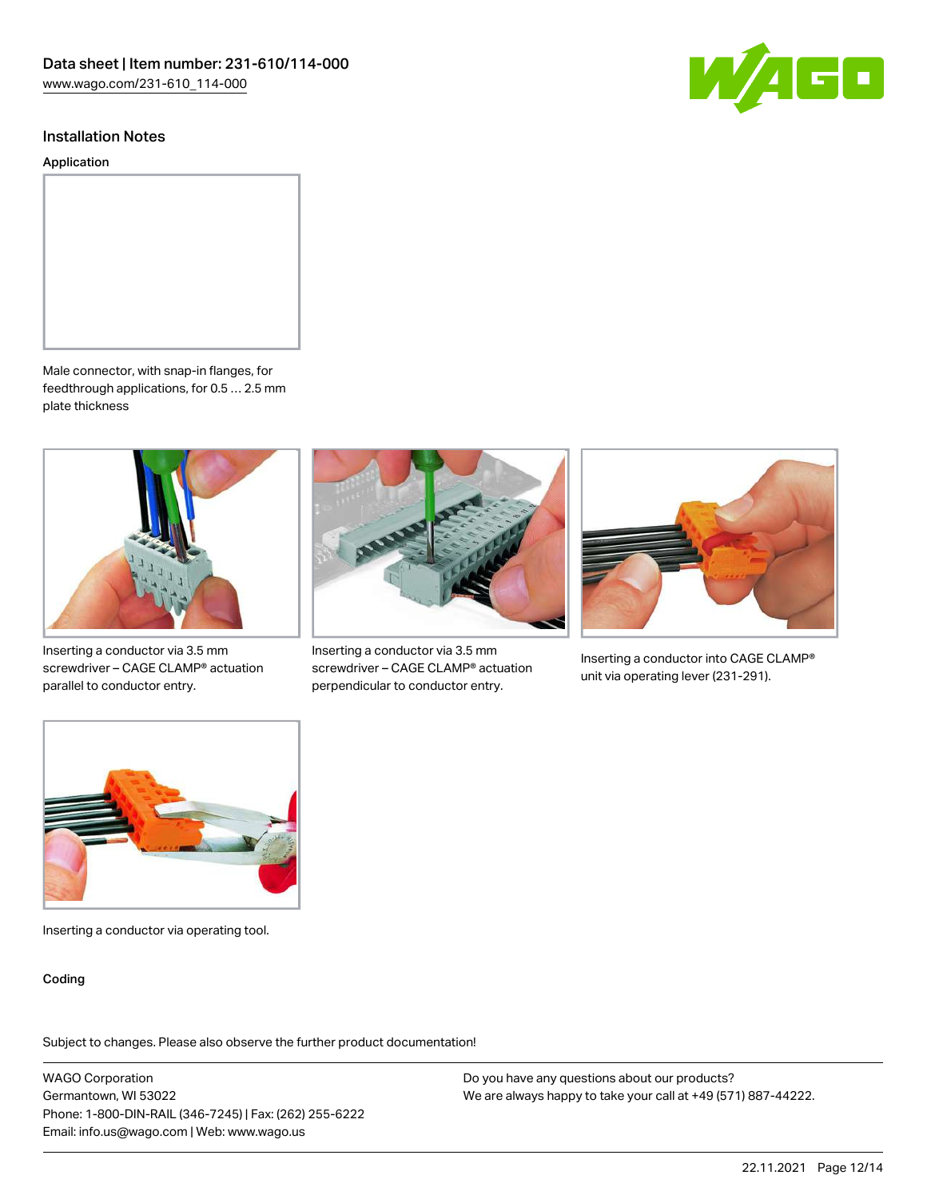

#### Installation Notes

Application



Male connector, with snap-in flanges, for feedthrough applications, for 0.5 … 2.5 mm plate thickness



Inserting a conductor via 3.5 mm screwdriver – CAGE CLAMP® actuation parallel to conductor entry.



Inserting a conductor via 3.5 mm screwdriver – CAGE CLAMP® actuation perpendicular to conductor entry.



Inserting a conductor into CAGE CLAMP® unit via operating lever (231-291).



Inserting a conductor via operating tool.

#### Coding

Subject to changes. Please also observe the further product documentation!

WAGO Corporation Germantown, WI 53022 Phone: 1-800-DIN-RAIL (346-7245) | Fax: (262) 255-6222 Email: info.us@wago.com | Web: www.wago.us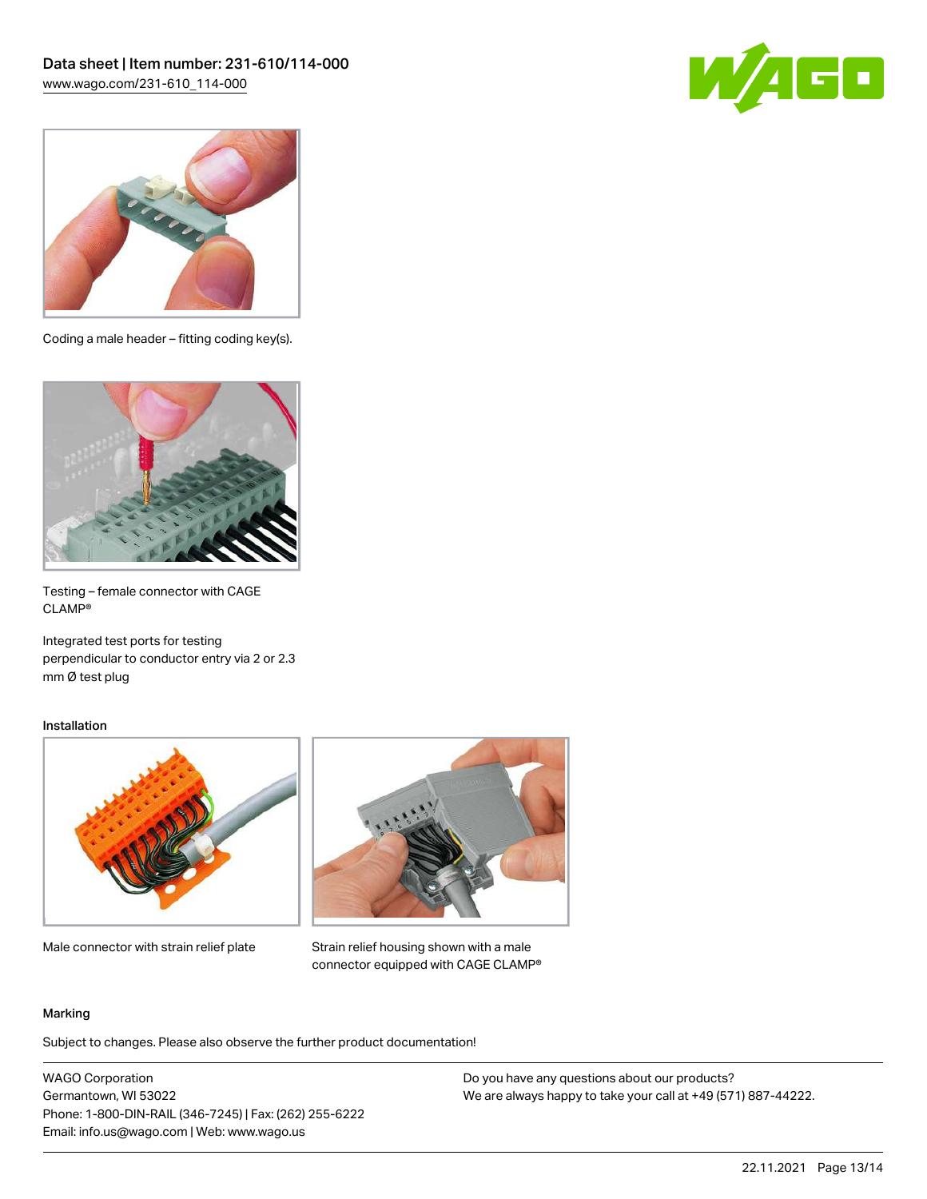



Coding a male header – fitting coding key(s).



Testing – female connector with CAGE CLAMP®

Integrated test ports for testing perpendicular to conductor entry via 2 or 2.3 mm Ø test plug

#### Installation



Male connector with strain relief plate



Strain relief housing shown with a male connector equipped with CAGE CLAMP®

#### Marking

Subject to changes. Please also observe the further product documentation!

WAGO Corporation Germantown, WI 53022 Phone: 1-800-DIN-RAIL (346-7245) | Fax: (262) 255-6222 Email: info.us@wago.com | Web: www.wago.us